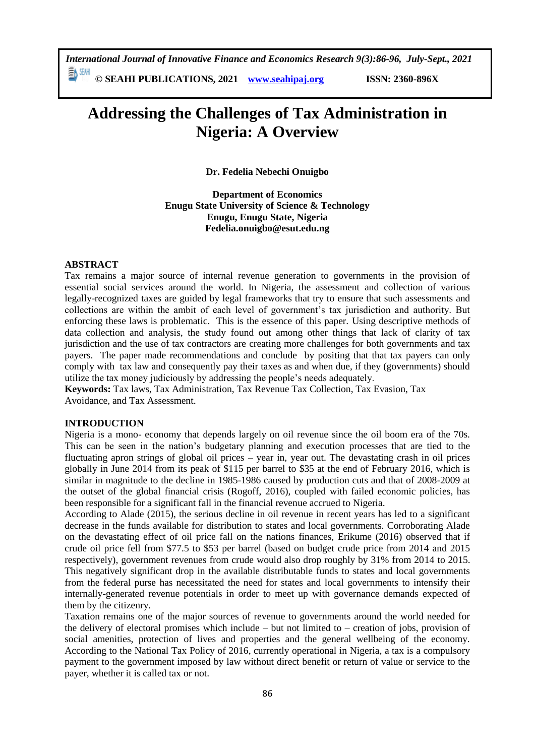# **© SEAHI PUBLICATIONS, 2021 [www.seahipaj.org](http://www.seahipaj.org/) ISSN: 2360-896X**

# **Addressing the Challenges of Tax Administration in Nigeria: A Overview**

**Dr. Fedelia Nebechi Onuigbo**

**Department of Economics Enugu State University of Science & Technology Enugu, Enugu State, Nigeria Fedelia.onuigbo@esut.edu.ng**

# **ABSTRACT**

Tax remains a major source of internal revenue generation to governments in the provision of essential social services around the world. In Nigeria, the assessment and collection of various legally-recognized taxes are guided by legal frameworks that try to ensure that such assessments and collections are within the ambit of each level of government's tax jurisdiction and authority. But enforcing these laws is problematic. This is the essence of this paper. Using descriptive methods of data collection and analysis, the study found out among other things that lack of clarity of tax jurisdiction and the use of tax contractors are creating more challenges for both governments and tax payers. The paper made recommendations and conclude by positing that that tax payers can only comply with tax law and consequently pay their taxes as and when due, if they (governments) should utilize the tax money judiciously by addressing the people's needs adequately.

**Keywords:** Tax laws, Tax Administration, Tax Revenue Tax Collection, Tax Evasion, Tax Avoidance, and Tax Assessment.

#### **INTRODUCTION**

Nigeria is a mono- economy that depends largely on oil revenue since the oil boom era of the 70s. This can be seen in the nation's budgetary planning and execution processes that are tied to the fluctuating apron strings of global oil prices – year in, year out. The devastating crash in oil prices globally in June 2014 from its peak of \$115 per barrel to \$35 at the end of February 2016, which is similar in magnitude to the decline in 1985-1986 caused by production cuts and that of 2008-2009 at the outset of the global financial crisis (Rogoff, 2016), coupled with failed economic policies, has been responsible for a significant fall in the financial revenue accrued to Nigeria.

According to Alade (2015), the serious decline in oil revenue in recent years has led to a significant decrease in the funds available for distribution to states and local governments. Corroborating Alade on the devastating effect of oil price fall on the nations finances, Erikume (2016) observed that if crude oil price fell from \$77.5 to \$53 per barrel (based on budget crude price from 2014 and 2015 respectively), government revenues from crude would also drop roughly by 31% from 2014 to 2015. This negatively significant drop in the available distributable funds to states and local governments from the federal purse has necessitated the need for states and local governments to intensify their internally-generated revenue potentials in order to meet up with governance demands expected of them by the citizenry.

Taxation remains one of the major sources of revenue to governments around the world needed for the delivery of electoral promises which include – but not limited to – creation of jobs, provision of social amenities, protection of lives and properties and the general wellbeing of the economy. According to the National Tax Policy of 2016, currently operational in Nigeria, a tax is a compulsory payment to the government imposed by law without direct benefit or return of value or service to the payer, whether it is called tax or not.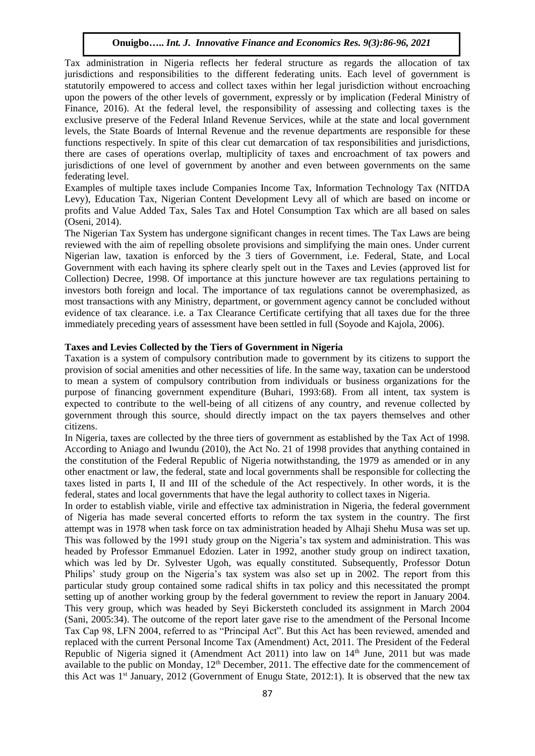Tax administration in Nigeria reflects her federal structure as regards the allocation of tax jurisdictions and responsibilities to the different federating units. Each level of government is statutorily empowered to access and collect taxes within her legal jurisdiction without encroaching upon the powers of the other levels of government, expressly or by implication (Federal Ministry of Finance, 2016). At the federal level, the responsibility of assessing and collecting taxes is the exclusive preserve of the Federal Inland Revenue Services, while at the state and local government levels, the State Boards of Internal Revenue and the revenue departments are responsible for these functions respectively. In spite of this clear cut demarcation of tax responsibilities and jurisdictions, there are cases of operations overlap, multiplicity of taxes and encroachment of tax powers and jurisdictions of one level of government by another and even between governments on the same federating level.

Examples of multiple taxes include Companies Income Tax, Information Technology Tax (NITDA Levy), Education Tax, Nigerian Content Development Levy all of which are based on income or profits and Value Added Tax, Sales Tax and Hotel Consumption Tax which are all based on sales (Oseni, 2014).

The Nigerian Tax System has undergone significant changes in recent times. The Tax Laws are being reviewed with the aim of repelling obsolete provisions and simplifying the main ones. Under current Nigerian law, taxation is enforced by the 3 tiers of Government, i.e. Federal, State, and Local Government with each having its sphere clearly spelt out in the Taxes and Levies (approved list for Collection) Decree, 1998. Of importance at this juncture however are tax regulations pertaining to investors both foreign and local. The importance of tax regulations cannot be overemphasized, as most transactions with any Ministry, department, or government agency cannot be concluded without evidence of tax clearance. i.e. a Tax Clearance Certificate certifying that all taxes due for the three immediately preceding years of assessment have been settled in full (Soyode and Kajola, 2006).

### **Taxes and Levies Collected by the Tiers of Government in Nigeria**

Taxation is a system of compulsory contribution made to government by its citizens to support the provision of social amenities and other necessities of life. In the same way, taxation can be understood to mean a system of compulsory contribution from individuals or business organizations for the purpose of financing government expenditure (Buhari, 1993:68). From all intent, tax system is expected to contribute to the well-being of all citizens of any country, and revenue collected by government through this source, should directly impact on the tax payers themselves and other citizens.

In Nigeria, taxes are collected by the three tiers of government as established by the Tax Act of 1998. According to Aniago and Iwundu (2010), the Act No. 21 of 1998 provides that anything contained in the constitution of the Federal Republic of Nigeria notwithstanding, the 1979 as amended or in any other enactment or law, the federal, state and local governments shall be responsible for collecting the taxes listed in parts I, II and III of the schedule of the Act respectively. In other words, it is the federal, states and local governments that have the legal authority to collect taxes in Nigeria.

In order to establish viable, virile and effective tax administration in Nigeria, the federal government of Nigeria has made several concerted efforts to reform the tax system in the country. The first attempt was in 1978 when task force on tax administration headed by Alhaji Shehu Musa was set up. This was followed by the 1991 study group on the Nigeria's tax system and administration. This was headed by Professor Emmanuel Edozien. Later in 1992, another study group on indirect taxation, which was led by Dr. Sylvester Ugoh, was equally constituted. Subsequently, Professor Dotun Philips' study group on the Nigeria's tax system was also set up in 2002. The report from this particular study group contained some radical shifts in tax policy and this necessitated the prompt setting up of another working group by the federal government to review the report in January 2004. This very group, which was headed by Seyi Bickersteth concluded its assignment in March 2004 (Sani, 2005:34). The outcome of the report later gave rise to the amendment of the Personal Income Tax Cap 98, LFN 2004, referred to as "Principal Act". But this Act has been reviewed, amended and replaced with the current Personal Income Tax (Amendment) Act, 2011. The President of the Federal Republic of Nigeria signed it (Amendment Act 2011) into law on 14<sup>th</sup> June, 2011 but was made available to the public on Monday, 12<sup>th</sup> December, 2011. The effective date for the commencement of this Act was  $1<sup>st</sup>$  January, 2012 (Government of Enugu State, 2012:1). It is observed that the new tax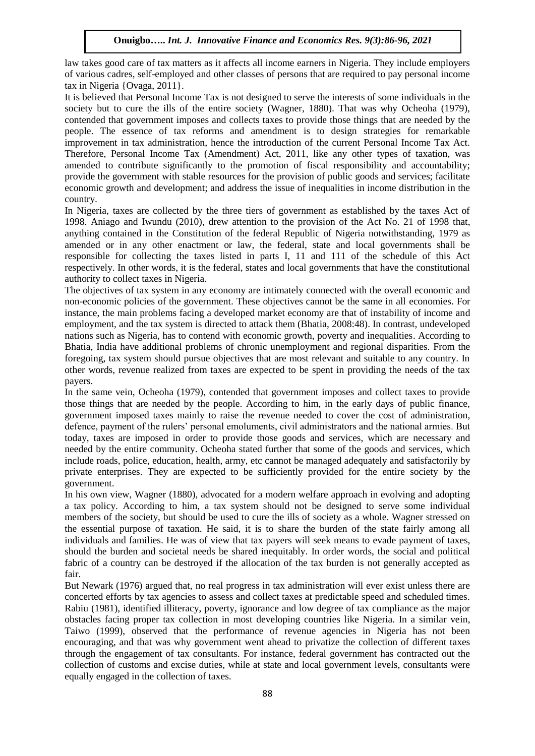law takes good care of tax matters as it affects all income earners in Nigeria. They include employers of various cadres, self-employed and other classes of persons that are required to pay personal income tax in Nigeria {Ovaga, 2011}.

It is believed that Personal Income Tax is not designed to serve the interests of some individuals in the society but to cure the ills of the entire society (Wagner, 1880). That was why Ocheoha (1979), contended that government imposes and collects taxes to provide those things that are needed by the people. The essence of tax reforms and amendment is to design strategies for remarkable improvement in tax administration, hence the introduction of the current Personal Income Tax Act. Therefore, Personal Income Tax (Amendment) Act, 2011, like any other types of taxation, was amended to contribute significantly to the promotion of fiscal responsibility and accountability; provide the government with stable resources for the provision of public goods and services; facilitate economic growth and development; and address the issue of inequalities in income distribution in the country.

In Nigeria, taxes are collected by the three tiers of government as established by the taxes Act of 1998. Aniago and Iwundu (2010), drew attention to the provision of the Act No. 21 of 1998 that, anything contained in the Constitution of the federal Republic of Nigeria notwithstanding, 1979 as amended or in any other enactment or law, the federal, state and local governments shall be responsible for collecting the taxes listed in parts I, 11 and 111 of the schedule of this Act respectively. In other words, it is the federal, states and local governments that have the constitutional authority to collect taxes in Nigeria.

The objectives of tax system in any economy are intimately connected with the overall economic and non-economic policies of the government. These objectives cannot be the same in all economies. For instance, the main problems facing a developed market economy are that of instability of income and employment, and the tax system is directed to attack them (Bhatia, 2008:48). In contrast, undeveloped nations such as Nigeria, has to contend with economic growth, poverty and inequalities. According to Bhatia, India have additional problems of chronic unemployment and regional disparities. From the foregoing, tax system should pursue objectives that are most relevant and suitable to any country. In other words, revenue realized from taxes are expected to be spent in providing the needs of the tax payers.

In the same vein, Ocheoha (1979), contended that government imposes and collect taxes to provide those things that are needed by the people. According to him, in the early days of public finance, government imposed taxes mainly to raise the revenue needed to cover the cost of administration, defence, payment of the rulers' personal emoluments, civil administrators and the national armies. But today, taxes are imposed in order to provide those goods and services, which are necessary and needed by the entire community. Ocheoha stated further that some of the goods and services, which include roads, police, education, health, army, etc cannot be managed adequately and satisfactorily by private enterprises. They are expected to be sufficiently provided for the entire society by the government.

In his own view, Wagner (1880), advocated for a modern welfare approach in evolving and adopting a tax policy. According to him, a tax system should not be designed to serve some individual members of the society, but should be used to cure the ills of society as a whole. Wagner stressed on the essential purpose of taxation. He said, it is to share the burden of the state fairly among all individuals and families. He was of view that tax payers will seek means to evade payment of taxes, should the burden and societal needs be shared inequitably. In order words, the social and political fabric of a country can be destroyed if the allocation of the tax burden is not generally accepted as fair.

But Newark (1976) argued that, no real progress in tax administration will ever exist unless there are concerted efforts by tax agencies to assess and collect taxes at predictable speed and scheduled times. Rabiu (1981), identified illiteracy, poverty, ignorance and low degree of tax compliance as the major obstacles facing proper tax collection in most developing countries like Nigeria. In a similar vein, Taiwo (1999), observed that the performance of revenue agencies in Nigeria has not been encouraging, and that was why government went ahead to privatize the collection of different taxes through the engagement of tax consultants. For instance, federal government has contracted out the collection of customs and excise duties, while at state and local government levels, consultants were equally engaged in the collection of taxes.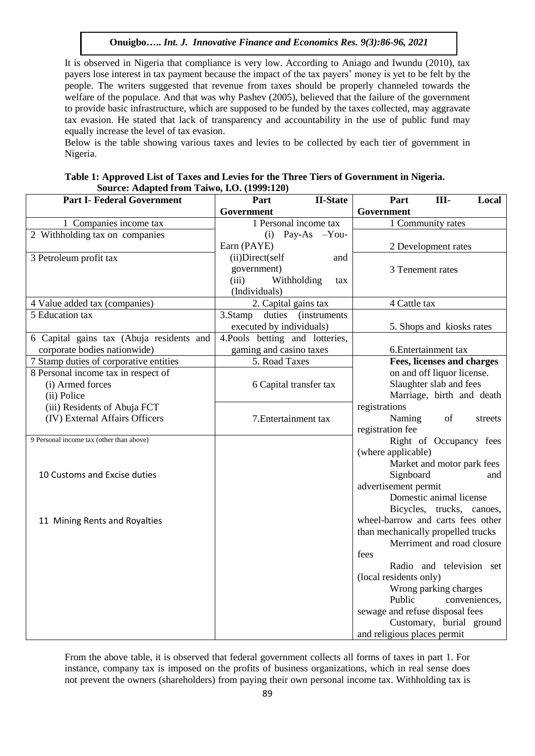It is observed in Nigeria that compliance is very low. According to Aniago and Iwundu (2010), tax payers lose interest in tax payment because the impact of the tax payers' money is yet to be felt by the people. The writers suggested that revenue from taxes should be properly channeled towards the welfare of the populace. And that was why Pashev (2005), believed that the failure of the government to provide basic infrastructure, which are supposed to be funded by the taxes collected, may aggravate tax evasion. He stated that lack of transparency and accountability in the use of public fund may equally increase the level of tax evasion.

Below is the table showing various taxes and levies to be collected by each tier of government in Nigeria.

| Table 1: Approved List of Taxes and Levies for the Three Tiers of Government in Nigeria. |
|------------------------------------------------------------------------------------------|
| Source: Adapted from Taiwo, I.O. (1999:120)                                              |

| <b>Part I- Federal Government</b>           | Part<br><b>II-State</b>         | Part<br>Ш-<br>Local                                  |
|---------------------------------------------|---------------------------------|------------------------------------------------------|
|                                             | Government                      | Government                                           |
| 1 Companies income tax                      | 1 Personal income tax           | 1 Community rates                                    |
| 2 Withholding tax on companies              | Pay-As $-You-$<br>(i)           |                                                      |
|                                             | Earn (PAYE)                     | 2 Development rates                                  |
| 3 Petroleum profit tax                      | (ii)Direct(self<br>and          |                                                      |
|                                             | government)                     | 3 Tenement rates                                     |
|                                             | (iii)<br>Withholding<br>tax     |                                                      |
|                                             | (Individuals)                   |                                                      |
| 4 Value added tax (companies)               | 2. Capital gains tax            | 4 Cattle tax                                         |
| 5 Education tax                             | 3.Stamp duties (instruments)    |                                                      |
|                                             | executed by individuals)        | 5. Shops and kiosks rates                            |
| 6 Capital gains tax (Abuja residents and    | 4. Pools betting and lotteries, |                                                      |
| corporate bodies nationwide)                | gaming and casino taxes         | 6. Entertainment tax                                 |
| 7 Stamp duties of corporative entities      | 5. Road Taxes                   | Fees, licenses and charges                           |
| 8 Personal income tax in respect of         |                                 | on and off liquor license.                           |
| (i) Armed forces                            | 6 Capital transfer tax          | Slaughter slab and fees<br>Marriage, birth and death |
| (ii) Police<br>(iii) Residents of Abuja FCT |                                 | registrations                                        |
| (IV) External Affairs Officers              | 7. Entertainment tax            | Naming<br>of<br>streets                              |
|                                             |                                 | registration fee                                     |
| 9 Personal income tax (other than above)    |                                 | Right of Occupancy fees                              |
|                                             |                                 | (where applicable)                                   |
|                                             |                                 | Market and motor park fees                           |
| 10 Customs and Excise duties                |                                 | Signboard<br>and                                     |
|                                             |                                 | advertisement permit                                 |
|                                             |                                 | Domestic animal license                              |
|                                             |                                 | Bicycles, trucks, canoes,                            |
| 11 Mining Rents and Royalties               |                                 | wheel-barrow and carts fees other                    |
|                                             |                                 | than mechanically propelled trucks                   |
|                                             |                                 | Merriment and road closure                           |
|                                             |                                 | fees                                                 |
|                                             |                                 | Radio and television set                             |
|                                             |                                 | (local residents only)                               |
|                                             |                                 | Wrong parking charges                                |
|                                             |                                 | Public<br>conveniences,                              |
|                                             |                                 | sewage and refuse disposal fees                      |
|                                             |                                 | Customary, burial ground                             |
|                                             |                                 | and religious places permit                          |

From the above table, it is observed that federal government collects all forms of taxes in part 1. For instance, company tax is imposed on the profits of business organizations, which in real sense does not prevent the owners (shareholders) from paying their own personal income tax. Withholding tax is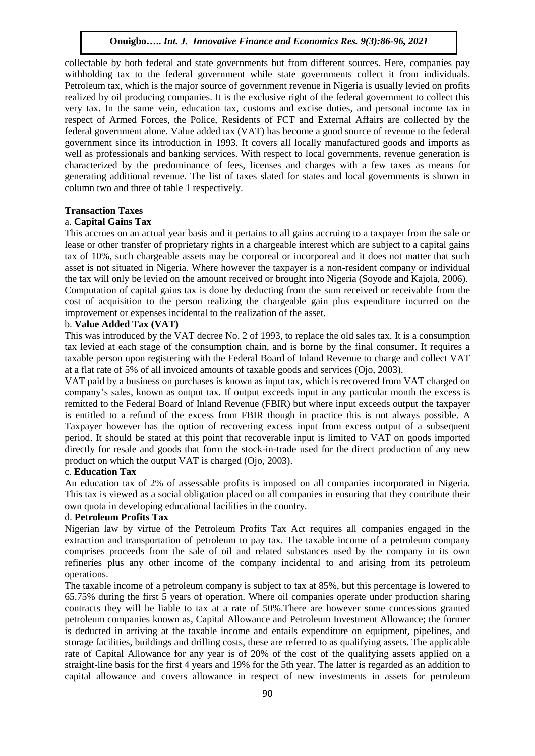collectable by both federal and state governments but from different sources. Here, companies pay withholding tax to the federal government while state governments collect it from individuals. Petroleum tax, which is the major source of government revenue in Nigeria is usually levied on profits realized by oil producing companies. It is the exclusive right of the federal government to collect this very tax. In the same vein, education tax, customs and excise duties, and personal income tax in respect of Armed Forces, the Police, Residents of FCT and External Affairs are collected by the federal government alone. Value added tax (VAT) has become a good source of revenue to the federal government since its introduction in 1993. It covers all locally manufactured goods and imports as well as professionals and banking services. With respect to local governments, revenue generation is characterized by the predominance of fees, licenses and charges with a few taxes as means for generating additional revenue. The list of taxes slated for states and local governments is shown in column two and three of table 1 respectively.

# **Transaction Taxes**

# a. **Capital Gains Tax**

This accrues on an actual year basis and it pertains to all gains accruing to a taxpayer from the sale or lease or other transfer of proprietary rights in a chargeable interest which are subject to a capital gains tax of 10%, such chargeable assets may be corporeal or incorporeal and it does not matter that such asset is not situated in Nigeria. Where however the taxpayer is a non-resident company or individual the tax will only be levied on the amount received or brought into Nigeria (Soyode and Kajola, 2006). Computation of capital gains tax is done by deducting from the sum received or receivable from the cost of acquisition to the person realizing the chargeable gain plus expenditure incurred on the improvement or expenses incidental to the realization of the asset.

# b. **Value Added Tax (VAT)**

This was introduced by the VAT decree No. 2 of 1993, to replace the old sales tax. It is a consumption tax levied at each stage of the consumption chain, and is borne by the final consumer. It requires a taxable person upon registering with the Federal Board of Inland Revenue to charge and collect VAT at a flat rate of 5% of all invoiced amounts of taxable goods and services (Ojo, 2003).

VAT paid by a business on purchases is known as input tax, which is recovered from VAT charged on company's sales, known as output tax. If output exceeds input in any particular month the excess is remitted to the Federal Board of Inland Revenue (FBIR) but where input exceeds output the taxpayer is entitled to a refund of the excess from FBIR though in practice this is not always possible. A Taxpayer however has the option of recovering excess input from excess output of a subsequent period. It should be stated at this point that recoverable input is limited to VAT on goods imported directly for resale and goods that form the stock-in-trade used for the direct production of any new product on which the output VAT is charged (Ojo, 2003).

# c. **Education Tax**

An education tax of 2% of assessable profits is imposed on all companies incorporated in Nigeria. This tax is viewed as a social obligation placed on all companies in ensuring that they contribute their own quota in developing educational facilities in the country.

#### d. **Petroleum Profits Tax**

Nigerian law by virtue of the Petroleum Profits Tax Act requires all companies engaged in the extraction and transportation of petroleum to pay tax. The taxable income of a petroleum company comprises proceeds from the sale of oil and related substances used by the company in its own refineries plus any other income of the company incidental to and arising from its petroleum operations.

The taxable income of a petroleum company is subject to tax at 85%, but this percentage is lowered to 65.75% during the first 5 years of operation. Where oil companies operate under production sharing contracts they will be liable to tax at a rate of 50%.There are however some concessions granted petroleum companies known as, Capital Allowance and Petroleum Investment Allowance; the former is deducted in arriving at the taxable income and entails expenditure on equipment, pipelines, and storage facilities, buildings and drilling costs, these are referred to as qualifying assets. The applicable rate of Capital Allowance for any year is of 20% of the cost of the qualifying assets applied on a straight-line basis for the first 4 years and 19% for the 5th year. The latter is regarded as an addition to capital allowance and covers allowance in respect of new investments in assets for petroleum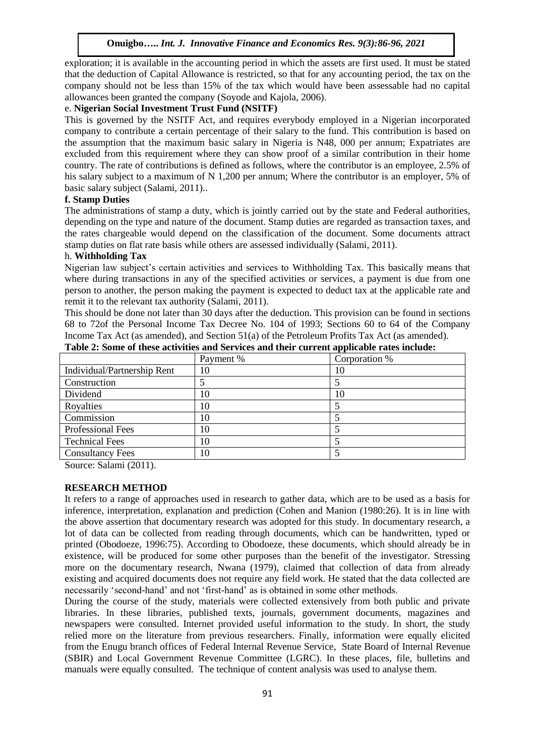exploration; it is available in the accounting period in which the assets are first used. It must be stated that the deduction of Capital Allowance is restricted, so that for any accounting period, the tax on the company should not be less than 15% of the tax which would have been assessable had no capital allowances been granted the company (Soyode and Kajola, 2006).

#### e. **Nigerian Social Investment Trust Fund (NSITF)**

This is governed by the NSITF Act, and requires everybody employed in a Nigerian incorporated company to contribute a certain percentage of their salary to the fund. This contribution is based on the assumption that the maximum basic salary in Nigeria is N48, 000 per annum; Expatriates are excluded from this requirement where they can show proof of a similar contribution in their home country. The rate of contributions is defined as follows, where the contributor is an employee, 2.5% of his salary subject to a maximum of N 1,200 per annum; Where the contributor is an employer, 5% of basic salary subject (Salami, 2011)..

# **f. Stamp Duties**

The administrations of stamp a duty, which is jointly carried out by the state and Federal authorities, depending on the type and nature of the document. Stamp duties are regarded as transaction taxes, and the rates chargeable would depend on the classification of the document. Some documents attract stamp duties on flat rate basis while others are assessed individually (Salami, 2011).

#### h. **Withholding Tax**

Nigerian law subject's certain activities and services to Withholding Tax. This basically means that where during transactions in any of the specified activities or services, a payment is due from one person to another, the person making the payment is expected to deduct tax at the applicable rate and remit it to the relevant tax authority (Salami, 2011).

This should be done not later than 30 days after the deduction. This provision can be found in sections 68 to 72of the Personal Income Tax Decree No. 104 of 1993; Sections 60 to 64 of the Company Income Tax Act (as amended), and Section 51(a) of the Petroleum Profits Tax Act (as amended).

|                             | Payment % | Corporation % |
|-----------------------------|-----------|---------------|
| Individual/Partnership Rent | 10        | 10            |
| Construction                |           |               |
| Dividend                    | 10        | 10            |
| Royalties                   | 10        |               |
| Commission                  | 10        |               |
| <b>Professional Fees</b>    | 10        |               |
| <b>Technical Fees</b>       | 10        |               |
| <b>Consultancy Fees</b>     | 10        |               |

**Table 2: Some of these activities and Services and their current applicable rates include:**

Source: Salami (2011).

#### **RESEARCH METHOD**

It refers to a range of approaches used in research to gather data, which are to be used as a basis for inference, interpretation, explanation and prediction (Cohen and Manion (1980:26). It is in line with the above assertion that documentary research was adopted for this study. In documentary research, a lot of data can be collected from reading through documents, which can be handwritten, typed or printed (Obodoeze, 1996:75). According to Obodoeze, these documents, which should already be in existence, will be produced for some other purposes than the benefit of the investigator. Stressing more on the documentary research, Nwana (1979), claimed that collection of data from already existing and acquired documents does not require any field work. He stated that the data collected are necessarily 'second-hand' and not 'first-hand' as is obtained in some other methods.

During the course of the study, materials were collected extensively from both public and private libraries. In these libraries, published texts, journals, government documents, magazines and newspapers were consulted. Internet provided useful information to the study. In short, the study relied more on the literature from previous researchers. Finally, information were equally elicited from the Enugu branch offices of Federal Internal Revenue Service, State Board of Internal Revenue (SBIR) and Local Government Revenue Committee (LGRC). In these places, file, bulletins and manuals were equally consulted. The technique of content analysis was used to analyse them.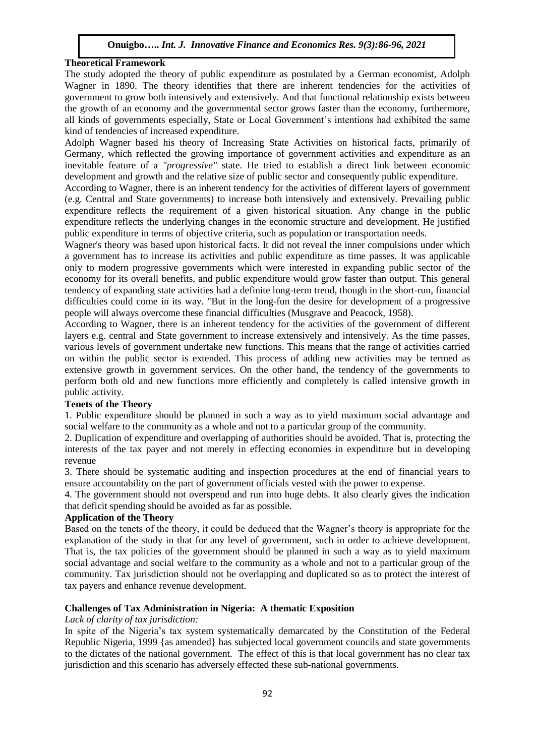# **Theoretical Framework**

The study adopted the theory of public expenditure as postulated by a German economist, Adolph Wagner in 1890. The theory identifies that there are inherent tendencies for the activities of government to grow both intensively and extensively. And that functional relationship exists between the growth of an economy and the governmental sector grows faster than the economy, furthermore, all kinds of governments especially, State or Local Government's intentions had exhibited the same kind of tendencies of increased expenditure.

Adolph Wagner based his theory of Increasing State Activities on historical facts, primarily of Germany, which reflected the growing importance of government activities and expenditure as an inevitable feature of a *"progressive"* state. He tried to establish a direct link between economic development and growth and the relative size of public sector and consequently public expenditure.

According to Wagner, there is an inherent tendency for the activities of different layers of government (e.g. Central and State governments) to increase both intensively and extensively. Prevailing public expenditure reflects the requirement of a given historical situation. Any change in the public expenditure reflects the underlying changes in the economic structure and development. He justified public expenditure in terms of objective criteria, such as population or transportation needs.

Wagner's theory was based upon historical facts. It did not reveal the inner compulsions under which a government has to increase its activities and public expenditure as time passes. It was applicable only to modern progressive governments which were interested in expanding public sector of the economy for its overall benefits, and public expenditure would grow faster than output. This general tendency of expanding state activities had a definite long-term trend, though in the short-run, financial difficulties could come in its way. "But in the long-fun the desire for development of a progressive people will always overcome these financial difficulties (Musgrave and Peacock, 1958).

According to Wagner, there is an inherent tendency for the activities of the government of different layers e.g. central and State government to increase extensively and intensively. As the time passes, various levels of government undertake new functions. This means that the range of activities carried on within the public sector is extended. This process of adding new activities may be termed as extensive growth in government services. On the other hand, the tendency of the governments to perform both old and new functions more efficiently and completely is called intensive growth in public activity.

# **Tenets of the Theory**

1. Public expenditure should be planned in such a way as to yield maximum social advantage and social welfare to the community as a whole and not to a particular group of the community.

2. Duplication of expenditure and overlapping of authorities should be avoided. That is, protecting the interests of the tax payer and not merely in effecting economies in expenditure but in developing revenue

3. There should be systematic auditing and inspection procedures at the end of financial years to ensure accountability on the part of government officials vested with the power to expense.

4. The government should not overspend and run into huge debts. It also clearly gives the indication that deficit spending should be avoided as far as possible.

# **Application of the Theory**

Based on the tenets of the theory, it could be deduced that the Wagner's theory is appropriate for the explanation of the study in that for any level of government, such in order to achieve development. That is, the tax policies of the government should be planned in such a way as to yield maximum social advantage and social welfare to the community as a whole and not to a particular group of the community. Tax jurisdiction should not be overlapping and duplicated so as to protect the interest of tax payers and enhance revenue development.

# **Challenges of Tax Administration in Nigeria: A thematic Exposition**

#### *Lack of clarity of tax jurisdiction:*

In spite of the Nigeria's tax system systematically demarcated by the Constitution of the Federal Republic Nigeria, 1999 {as amended} has subjected local government councils and state governments to the dictates of the national government. The effect of this is that local government has no clear tax jurisdiction and this scenario has adversely effected these sub-national governments.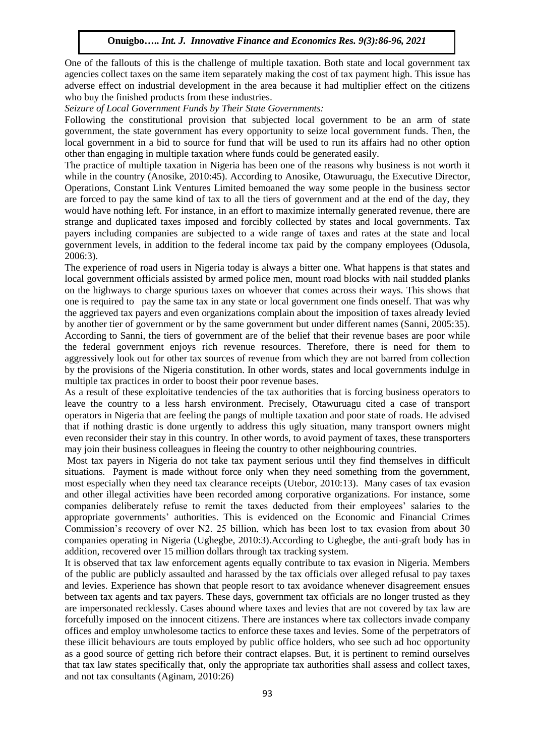One of the fallouts of this is the challenge of multiple taxation. Both state and local government tax agencies collect taxes on the same item separately making the cost of tax payment high. This issue has adverse effect on industrial development in the area because it had multiplier effect on the citizens who buy the finished products from these industries.

*Seizure of Local Government Funds by Their State Governments:*

Following the constitutional provision that subjected local government to be an arm of state government, the state government has every opportunity to seize local government funds. Then, the local government in a bid to source for fund that will be used to run its affairs had no other option other than engaging in multiple taxation where funds could be generated easily.

The practice of multiple taxation in Nigeria has been one of the reasons why business is not worth it while in the country (Anosike, 2010:45). According to Anosike, Otawuruagu, the Executive Director, Operations, Constant Link Ventures Limited bemoaned the way some people in the business sector are forced to pay the same kind of tax to all the tiers of government and at the end of the day, they would have nothing left. For instance, in an effort to maximize internally generated revenue, there are strange and duplicated taxes imposed and forcibly collected by states and local governments. Tax payers including companies are subjected to a wide range of taxes and rates at the state and local government levels, in addition to the federal income tax paid by the company employees (Odusola, 2006:3).

The experience of road users in Nigeria today is always a bitter one. What happens is that states and local government officials assisted by armed police men, mount road blocks with nail studded planks on the highways to charge spurious taxes on whoever that comes across their ways. This shows that one is required to pay the same tax in any state or local government one finds oneself. That was why the aggrieved tax payers and even organizations complain about the imposition of taxes already levied by another tier of government or by the same government but under different names (Sanni, 2005:35). According to Sanni, the tiers of government are of the belief that their revenue bases are poor while the federal government enjoys rich revenue resources. Therefore, there is need for them to aggressively look out for other tax sources of revenue from which they are not barred from collection by the provisions of the Nigeria constitution. In other words, states and local governments indulge in multiple tax practices in order to boost their poor revenue bases.

As a result of these exploitative tendencies of the tax authorities that is forcing business operators to leave the country to a less harsh environment. Precisely, Otawuruagu cited a case of transport operators in Nigeria that are feeling the pangs of multiple taxation and poor state of roads. He advised that if nothing drastic is done urgently to address this ugly situation, many transport owners might even reconsider their stay in this country. In other words, to avoid payment of taxes, these transporters may join their business colleagues in fleeing the country to other neighbouring countries.

Most tax payers in Nigeria do not take tax payment serious until they find themselves in difficult situations. Payment is made without force only when they need something from the government, most especially when they need tax clearance receipts (Utebor, 2010:13). Many cases of tax evasion and other illegal activities have been recorded among corporative organizations. For instance, some companies deliberately refuse to remit the taxes deducted from their employees' salaries to the appropriate governments' authorities. This is evidenced on the Economic and Financial Crimes Commission's recovery of over N2. 25 billion, which has been lost to tax evasion from about 30 companies operating in Nigeria (Ughegbe, 2010:3).According to Ughegbe, the anti-graft body has in addition, recovered over 15 million dollars through tax tracking system.

It is observed that tax law enforcement agents equally contribute to tax evasion in Nigeria. Members of the public are publicly assaulted and harassed by the tax officials over alleged refusal to pay taxes and levies. Experience has shown that people resort to tax avoidance whenever disagreement ensues between tax agents and tax payers. These days, government tax officials are no longer trusted as they are impersonated recklessly. Cases abound where taxes and levies that are not covered by tax law are forcefully imposed on the innocent citizens. There are instances where tax collectors invade company offices and employ unwholesome tactics to enforce these taxes and levies. Some of the perpetrators of these illicit behaviours are touts employed by public office holders, who see such ad hoc opportunity as a good source of getting rich before their contract elapses. But, it is pertinent to remind ourselves that tax law states specifically that, only the appropriate tax authorities shall assess and collect taxes, and not tax consultants (Aginam, 2010:26)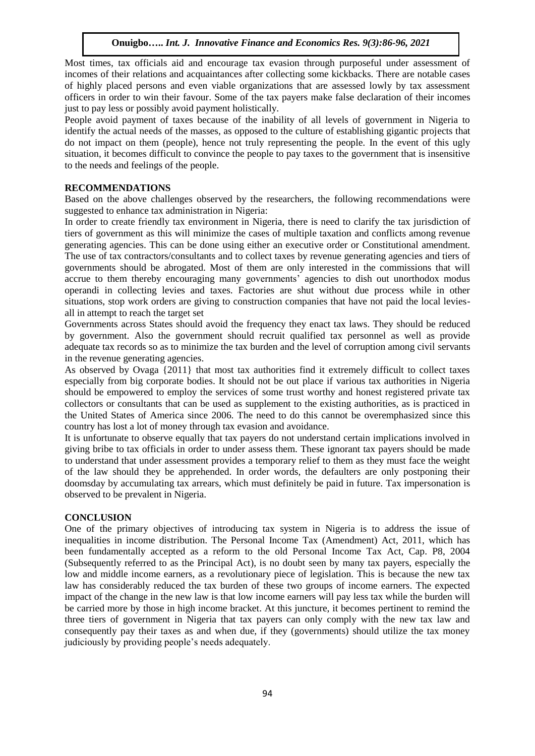Most times, tax officials aid and encourage tax evasion through purposeful under assessment of incomes of their relations and acquaintances after collecting some kickbacks. There are notable cases of highly placed persons and even viable organizations that are assessed lowly by tax assessment officers in order to win their favour. Some of the tax payers make false declaration of their incomes just to pay less or possibly avoid payment holistically.

People avoid payment of taxes because of the inability of all levels of government in Nigeria to identify the actual needs of the masses, as opposed to the culture of establishing gigantic projects that do not impact on them (people), hence not truly representing the people. In the event of this ugly situation, it becomes difficult to convince the people to pay taxes to the government that is insensitive to the needs and feelings of the people.

### **RECOMMENDATIONS**

Based on the above challenges observed by the researchers, the following recommendations were suggested to enhance tax administration in Nigeria:

In order to create friendly tax environment in Nigeria, there is need to clarify the tax jurisdiction of tiers of government as this will minimize the cases of multiple taxation and conflicts among revenue generating agencies. This can be done using either an executive order or Constitutional amendment. The use of tax contractors/consultants and to collect taxes by revenue generating agencies and tiers of governments should be abrogated. Most of them are only interested in the commissions that will accrue to them thereby encouraging many governments' agencies to dish out unorthodox modus operandi in collecting levies and taxes. Factories are shut without due process while in other situations, stop work orders are giving to construction companies that have not paid the local leviesall in attempt to reach the target set

Governments across States should avoid the frequency they enact tax laws. They should be reduced by government. Also the government should recruit qualified tax personnel as well as provide adequate tax records so as to minimize the tax burden and the level of corruption among civil servants in the revenue generating agencies.

As observed by Ovaga {2011} that most tax authorities find it extremely difficult to collect taxes especially from big corporate bodies. It should not be out place if various tax authorities in Nigeria should be empowered to employ the services of some trust worthy and honest registered private tax collectors or consultants that can be used as supplement to the existing authorities, as is practiced in the United States of America since 2006. The need to do this cannot be overemphasized since this country has lost a lot of money through tax evasion and avoidance.

It is unfortunate to observe equally that tax payers do not understand certain implications involved in giving bribe to tax officials in order to under assess them. These ignorant tax payers should be made to understand that under assessment provides a temporary relief to them as they must face the weight of the law should they be apprehended. In order words, the defaulters are only postponing their doomsday by accumulating tax arrears, which must definitely be paid in future. Tax impersonation is observed to be prevalent in Nigeria.

#### **CONCLUSION**

One of the primary objectives of introducing tax system in Nigeria is to address the issue of inequalities in income distribution. The Personal Income Tax (Amendment) Act, 2011, which has been fundamentally accepted as a reform to the old Personal Income Tax Act, Cap. P8, 2004 (Subsequently referred to as the Principal Act), is no doubt seen by many tax payers, especially the low and middle income earners, as a revolutionary piece of legislation. This is because the new tax law has considerably reduced the tax burden of these two groups of income earners. The expected impact of the change in the new law is that low income earners will pay less tax while the burden will be carried more by those in high income bracket. At this juncture, it becomes pertinent to remind the three tiers of government in Nigeria that tax payers can only comply with the new tax law and consequently pay their taxes as and when due, if they (governments) should utilize the tax money judiciously by providing people's needs adequately.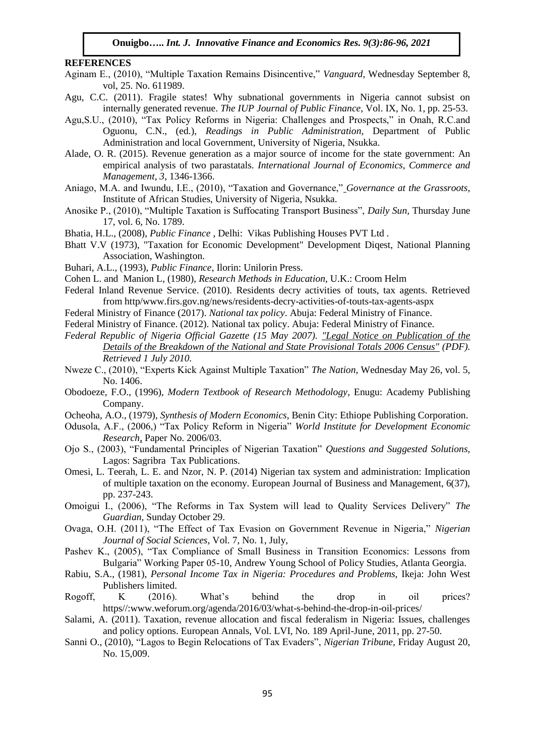#### **REFERENCES**

- Aginam E., (2010), "Multiple Taxation Remains Disincentive," *Vanguard,* Wednesday September 8, vol, 25. No. 611989.
- Agu, C.C. (2011). Fragile states! Why subnational governments in Nigeria cannot subsist on internally generated revenue. *The IUP Journal of Public Finance*, Vol. IX, No. 1, pp. 25-53.
- Agu,S.U., (2010), "Tax Policy Reforms in Nigeria: Challenges and Prospects," in Onah, R.C.and Oguonu, C.N., (ed.), *Readings in Public Administration,* Department of Public Administration and local Government, University of Nigeria, Nsukka.
- Alade, O. R. (2015). Revenue generation as a major source of income for the state government: An empirical analysis of two parastatals. *International Journal of Economics, Commerce and Management*, *3*, 1346-1366.
- Aniago, M.A. and Iwundu, I.E., (2010), "Taxation and Governance," *Governance at the Grassroots,*  Institute of African Studies, University of Nigeria, Nsukka.
- Anosike P., (2010), "Multiple Taxation is Suffocating Transport Business", *Daily Sun,* Thursday June 17, vol. 6, No. 1789.
- Bhatia, H.L., (2008), *Public Finance* , Delhi: Vikas Publishing Houses PVT Ltd .
- Bhatt V.V (1973), "Taxation for Economic Development" Development Diqest, National Planning Association, Washington.
- Buhari, A.L., (1993), *Public Finance*, Ilorin: Unilorin Press.
- Cohen L. and Manion L, (1980), *Research Methods in Education*, U.K.: Croom Helm
- Federal Inland Revenue Service. (2010). Residents decry activities of touts, tax agents. Retrieved from http/www.firs.gov.ng/news/residents-decry-activities-of-touts-tax-agents-aspx
- Federal Ministry of Finance (2017). *National tax policy*. Abuja: Federal Ministry of Finance.
- Federal Ministry of Finance. (2012). National tax policy. Abuja: Federal Ministry of Finance.
- *Federal Republic of Nigeria Official Gazette (15 May 2007). ["Legal Notice on Publication of the](http://www.nigerianstat.gov.ng/nbsapps/Connections/Pop2006.pdf)  [Details of the Breakdown of the National and State Provisional Totals 2006 Census"](http://www.nigerianstat.gov.ng/nbsapps/Connections/Pop2006.pdf) (PDF). Retrieved 1 July 2010.*
- Nweze C., (2010), "Experts Kick Against Multiple Taxation" *The Nation,* Wednesday May 26, vol. 5, No. 1406.
- Obodoeze, F.O., (1996), *Modern Textbook of Research Methodology*, Enugu: Academy Publishing Company.
- Ocheoha, A.O., (1979), *Synthesis of Modern Economics*, Benin City: Ethiope Publishing Corporation.
- Odusola, A.F., (2006,) "Tax Policy Reform in Nigeria" *World Institute for Development Economic Research*, Paper No. 2006/03.
- Ojo S., (2003), "Fundamental Principles of Nigerian Taxation" *Questions and Suggested Solutions,* Lagos: Sagribra Tax Publications.
- Omesi, L. Teerah, L. E. and Nzor, N. P. (2014) Nigerian tax system and administration: Implication of multiple taxation on the economy. European Journal of Business and Management, 6(37), pp. 237-243.
- Omoigui I., (2006), "The Reforms in Tax System will lead to Quality Services Delivery" *The Guardian,* Sunday October 29.
- Ovaga, O.H. (2011), "The Effect of Tax Evasion on Government Revenue in Nigeria," *Nigerian Journal of Social Sciences,* Vol. 7, No. 1, July,
- Pashev K., (2005), "Tax Compliance of Small Business in Transition Economics: Lessons from Bulgaria" Working Paper 05-10, Andrew Young School of Policy Studies, Atlanta Georgia.
- Rabiu, S.A., (1981), *Personal Income Tax in Nigeria: Procedures and Problems,* Ikeja: John West Publishers limited.
- Rogoff, K (2016). What's behind the drop in oil prices? https//:www.weforum.org/agenda/2016/03/what-s-behind-the-drop-in-oil-prices/
- Salami, A. (2011). Taxation, revenue allocation and fiscal federalism in Nigeria: Issues, challenges and policy options. European Annals, Vol. LVI, No. 189 April-June, 2011, pp. 27-50.
- Sanni O., (2010), "Lagos to Begin Relocations of Tax Evaders", *Nigerian Tribune,* Friday August 20, No. 15,009.